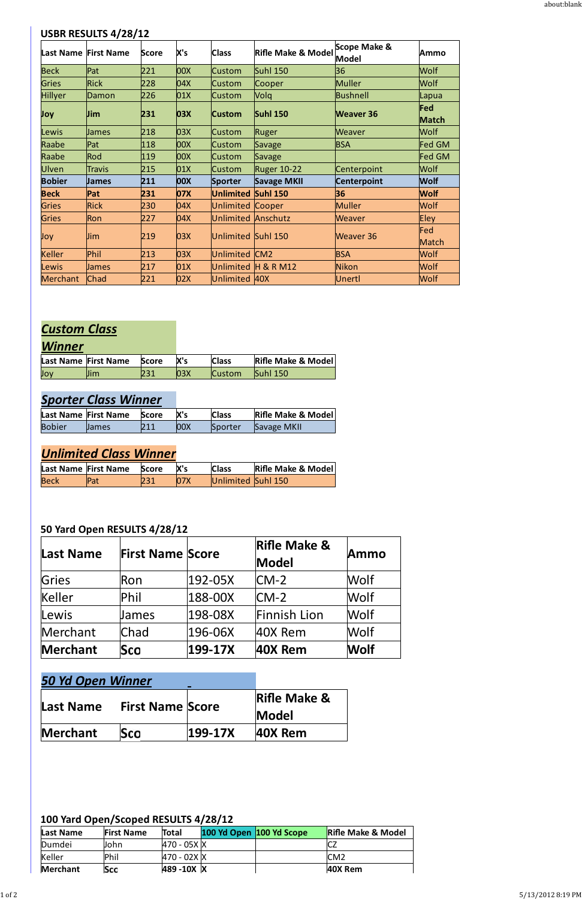#### **USBR RESULTS 4/28/12**

|                | Last Name First Name | <b>Score</b> | X's        | <b>Class</b>            | <b>Rifle Make &amp; Model</b> | Scope Make &<br><b>Model</b> | Ammo                |
|----------------|----------------------|--------------|------------|-------------------------|-------------------------------|------------------------------|---------------------|
| <b>Beck</b>    | Pat                  | 221          | 00X        | <b>Custom</b>           | <b>Suhl 150</b>               | 36                           | <b>Wolf</b>         |
| <b>Gries</b>   | <b>Rick</b>          | 228          | 04X        | <b>Custom</b>           | Cooper                        | Muller                       | Wolf                |
| <b>Hillyer</b> | Damon                | 226          | 01X        | <b>Custom</b>           | Volq                          | Bushnell                     | Lapua               |
| Joy            | <b>Jim</b>           | 231          | 03X        | <b>Custom</b>           | <b>Suhl 150</b>               | <b>Weaver 36</b>             | Fed<br><b>Match</b> |
| Lewis          | <b>James</b>         | 218          | 03X        | <b>Custom</b>           | Ruger                         | <b>Weaver</b>                | Wolf                |
| Raabe          | Pat                  | 118          | <b>OOX</b> | <b>Custom</b>           | <b>Savage</b>                 | <b>BSA</b>                   | Fed GM              |
| Raabe          | Rod                  | 119          | <b>OOX</b> | <b>Custom</b>           | Savage                        |                              | Fed GM              |
| <b>Ulven</b>   | <b>Travis</b>        | 215          | 01X        | <b>Custom</b>           | <b>Ruger 10-22</b>            | Centerpoint                  | Wolf                |
| <b>Bobier</b>  | <b>James</b>         | 211          | <b>OOX</b> | <b>Sporter</b>          | <b>Savage MKII</b>            | <b>Centerpoint</b>           | <b>Wolf</b>         |
| <b>Beck</b>    | Pat                  | 231          | 07X        | <b>Unlimited</b>        | <b>Suhl 150</b>               | 36                           | <b>Wolf</b>         |
| <b>Gries</b>   | <b>Rick</b>          | 230          | 04X        | <b>Unlimited Cooper</b> |                               | Muller                       | Wolf                |
| <b>Gries</b>   | Ron                  | 227          | 04X        | Unlimited Anschutz      |                               | <b>Weaver</b>                | <b>Eley</b>         |
| Joy            | Jim                  | 219          | 03X        | Unlimited Suhl 150      |                               | <b>Weaver 36</b>             | Fed<br>Match        |
| <b>Keller</b>  | Phil                 | 213          | 03X        | Unlimited               | CM2                           | <b>BSA</b>                   | Wolf                |
| Lewis          | James                | 217          | 01X        |                         | Unlimited H & R M12           | Nikon                        | Wolf                |
| Merchant       | Chad                 | 221          | 02X        | Unlimited 40X           |                               | Unertl                       | Wolf                |

# *Custom Class*

### *Winner*

|     | Last Name First Name | <b>Score</b> | Χ's | <b>Class</b>  | <b>Rifle Make &amp; Model</b> |
|-----|----------------------|--------------|-----|---------------|-------------------------------|
| Joy | $\mathbf{m}$         |              |     | <b>Custom</b> | <b>Suhl 150</b>               |

# *Sporter Class Winner*

|               | Last Name First Name | <b>Score</b> | X's  | <b>Class</b> | <b>Rifle Make &amp; Model</b> |
|---------------|----------------------|--------------|------|--------------|-------------------------------|
| <b>Bobier</b> | <b>James</b>         |              | 100X | Sporter      | Savage MKII                   |

# *Unlimited Class Winner*

|             | Last Name First Name | <b>Score</b> | lX's | <b>Class</b>       | <b>Rifle Make &amp; Model</b> |
|-------------|----------------------|--------------|------|--------------------|-------------------------------|
| <b>Beck</b> | Pat                  |              |      | Unlimited Suhl 150 |                               |

### **50 Yard Open RESULTS 4/28/12**

| Last Name | <b>First Name Score</b> |             | <b>Rifle Make &amp;</b><br>Model | Ammo        |
|-----------|-------------------------|-------------|----------------------------------|-------------|
| Gries     | Ron                     | 192-05X     | $CM-2$                           | <b>Wolf</b> |
| Keller    | Phil                    | 188-00X     | $CM-2$                           | Wolf        |
| Lewis     | James                   | 198-08X     | Finnish Lion                     | Wolf        |
| Merchant  | Chad                    | 196-06X     | 40X Rem                          | Wolf        |
| Merchant  | Sco                     | $199 - 17X$ | 40X Rem                          | <b>Wolf</b> |

| <b>50 Yd Open Winner</b> |                         |             |                         |
|--------------------------|-------------------------|-------------|-------------------------|
| Last Name                | <b>First Name Score</b> |             | <b>Rifle Make &amp;</b> |
|                          |                         |             | <b>Model</b>            |
| <b>Merchant</b>          | Sco                     | $ 199-17X $ | $ 40X$ Rem              |

### **100 Yard Open/Scoped RESULTS 4/28/12**

| Last Name       | <b>First Name</b> | <b>Total</b> | 100 Yd Open 100 Yd Scope | <b>Rifle Make &amp; Model</b> |
|-----------------|-------------------|--------------|--------------------------|-------------------------------|
| Dumdei          | John              | 470 - 05X K  |                          | ◡▵                            |
| Keller          | Phil              | 470 - 02X K  |                          | CM <sub>2</sub>               |
| <b>Merchant</b> | Sco               | 489-10X X    |                          | 40X Rem                       |